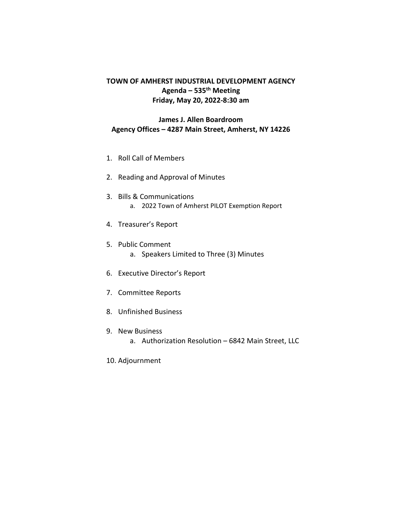## **TOWN OF AMHERST INDUSTRIAL DEVELOPMENT AGENCY Agenda – 535th Meeting Friday, May 20, 2022-8:30 am**

## **James J. Allen Boardroom Agency Offices – 4287 Main Street, Amherst, NY 14226**

- 1. Roll Call of Members
- 2. Reading and Approval of Minutes
- 3. Bills & Communications a. 2022 Town of Amherst PILOT Exemption Report
- 4. Treasurer's Report
- 5. Public Comment
	- a. Speakers Limited to Three (3) Minutes
- 6. Executive Director's Report
- 7. Committee Reports
- 8. Unfinished Business
- 9. New Business
	- a. Authorization Resolution 6842 Main Street, LLC
- 10. Adjournment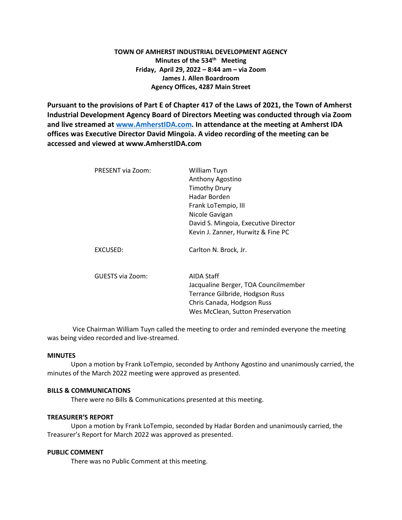#### **TOWN OF AMHERST INDUSTRIAL DEVELOPMENT AGENCY Minutes of the 534<sup>th</sup> Meeting Friday, April 29, 2022 – 8:44 am – via Zoom James J. Allen Boardroom Agency Offices, 4287 Main Street**

**Pursuant to the provisions of Part E of Chapter 417 of the Laws of 2021, the Town of Amherst Industrial Development Agency Board of Directors Meeting was conducted through via Zoom and live streamed at [www.AmherstIDA.com.](http://www.amherstida.com/) In attendance at the meeting at Amherst IDA offices was Executive Director David Mingoia. A video recording of the meeting can be accessed and viewed at www.AmherstIDA.com**

| PRESENT via Zoom: | William Tuyn                         |
|-------------------|--------------------------------------|
|                   | Anthony Agostino                     |
|                   | <b>Timothy Drury</b>                 |
|                   | Hadar Borden                         |
|                   | Frank LoTempio, III                  |
|                   | Nicole Gavigan                       |
|                   | David S. Mingoia, Executive Director |
|                   | Kevin J. Zanner, Hurwitz & Fine PC   |
| EXCUSED:          | Carlton N. Brock, Jr.                |
| GUESTS via Zoom:  | AIDA Staff                           |
|                   | Jacqualine Berger, TOA Councilmember |
|                   | Terrance Gilbride, Hodgson Russ      |
|                   | Chris Canada, Hodgson Russ           |
|                   | Wes McClean, Sutton Preservation     |
|                   |                                      |

Vice Chairman William Tuyn called the meeting to order and reminded everyone the meeting was being video recorded and live-streamed.

#### **MINUTES**

Upon a motion by Frank LoTempio, seconded by Anthony Agostino and unanimously carried, the minutes of the March 2022 meeting were approved as presented.

#### **BILLS & COMMUNICATIONS**

There were no Bills & Communications presented at this meeting.

#### **TREASURER'S REPORT**

Upon a motion by Frank LoTempio, seconded by Hadar Borden and unanimously carried, the Treasurer's Report for March 2022 was approved as presented.

#### **PUBLIC COMMENT**

There was no Public Comment at this meeting.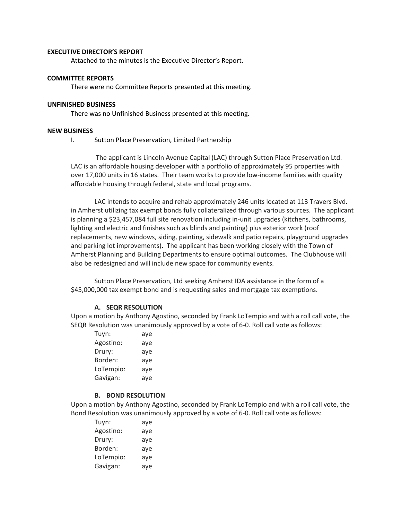#### **EXECUTIVE DIRECTOR'S REPORT**

Attached to the minutes is the Executive Director's Report.

#### **COMMITTEE REPORTS**

There were no Committee Reports presented at this meeting.

#### **UNFINISHED BUSINESS**

There was no Unfinished Business presented at this meeting.

#### **NEW BUSINESS**

I. Sutton Place Preservation, Limited Partnership

The applicant is Lincoln Avenue Capital (LAC) through Sutton Place Preservation Ltd. LAC is an affordable housing developer with a portfolio of approximately 95 properties with over 17,000 units in 16 states. Their team works to provide low-income families with quality affordable housing through federal, state and local programs.

LAC intends to acquire and rehab approximately 246 units located at 113 Travers Blvd. in Amherst utilizing tax exempt bonds fully collateralized through various sources. The applicant is planning a \$23,457,084 full site renovation including in-unit upgrades (kitchens, bathrooms, lighting and electric and finishes such as blinds and painting) plus exterior work (roof replacements, new windows, siding, painting, sidewalk and patio repairs, playground upgrades and parking lot improvements). The applicant has been working closely with the Town of Amherst Planning and Building Departments to ensure optimal outcomes. The Clubhouse will also be redesigned and will include new space for community events.

Sutton Place Preservation, Ltd seeking Amherst IDA assistance in the form of a \$45,000,000 tax exempt bond and is requesting sales and mortgage tax exemptions.

#### **A. SEQR RESOLUTION**

Upon a motion by Anthony Agostino, seconded by Frank LoTempio and with a roll call vote, the SEQR Resolution was unanimously approved by a vote of 6-0. Roll call vote as follows:

| Tuyn:     | aye |
|-----------|-----|
| Agostino: | aye |
| Drury:    | aye |
| Borden:   | aye |
| LoTempio: | aye |
| Gavigan:  | aye |

#### **B. BOND RESOLUTION**

Upon a motion by Anthony Agostino, seconded by Frank LoTempio and with a roll call vote, the Bond Resolution was unanimously approved by a vote of 6-0. Roll call vote as follows:

| Tuyn:     | aye |
|-----------|-----|
| Agostino: | aye |
| Drury:    | aye |
| Borden:   | aye |
| LoTempio: | aye |
| Gavigan:  | aye |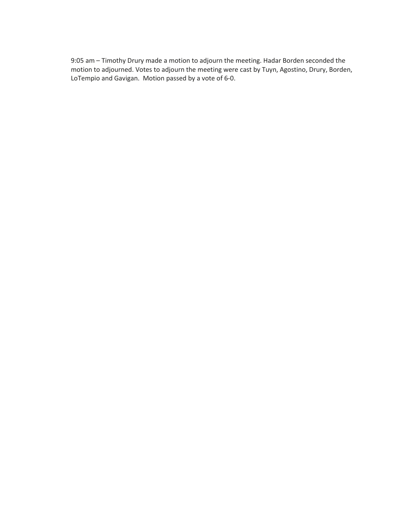9:05 am – Timothy Drury made a motion to adjourn the meeting. Hadar Borden seconded the motion to adjourned. Votes to adjourn the meeting were cast by Tuyn, Agostino, Drury, Borden, LoTempio and Gavigan. Motion passed by a vote of 6-0.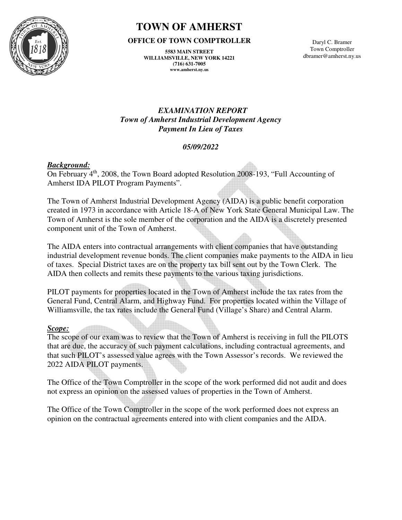

# **TOWN OF AMHERST**

#### **OFFICE OF TOWN COMPTROLLER**

**5583 MAIN STREET WILLIAMSVILLE, NEW YORK 14221 (716) 631-7005 www.amherst.ny.us** 

Daryl C. Bramer Town Comptroller dbramer@amherst.ny.us

## *EXAMINATION REPORT Town of Amherst Industrial Development Agency Payment In Lieu of Taxes*

# *05/09/2022*

# *Background:*

On February 4th, 2008, the Town Board adopted Resolution 2008-193, "Full Accounting of Amherst IDA PILOT Program Payments".

The Town of Amherst Industrial Development Agency (AIDA) is a public benefit corporation created in 1973 in accordance with Article 18-A of New York State General Municipal Law. The Town of Amherst is the sole member of the corporation and the AIDA is a discretely presented component unit of the Town of Amherst.

The AIDA enters into contractual arrangements with client companies that have outstanding industrial development revenue bonds. The client companies make payments to the AIDA in lieu of taxes. Special District taxes are on the property tax bill sent out by the Town Clerk. The AIDA then collects and remits these payments to the various taxing jurisdictions.

PILOT payments for properties located in the Town of Amherst include the tax rates from the General Fund, Central Alarm, and Highway Fund. For properties located within the Village of Williamsville, the tax rates include the General Fund (Village's Share) and Central Alarm.

## *Scope:*

The scope of our exam was to review that the Town of Amherst is receiving in full the PILOTS that are due, the accuracy of such payment calculations, including contractual agreements, and that such PILOT's assessed value agrees with the Town Assessor's records. We reviewed the 2022 AIDA PILOT payments.

The Office of the Town Comptroller in the scope of the work performed did not audit and does not express an opinion on the assessed values of properties in the Town of Amherst.

The Office of the Town Comptroller in the scope of the work performed does not express an opinion on the contractual agreements entered into with client companies and the AIDA.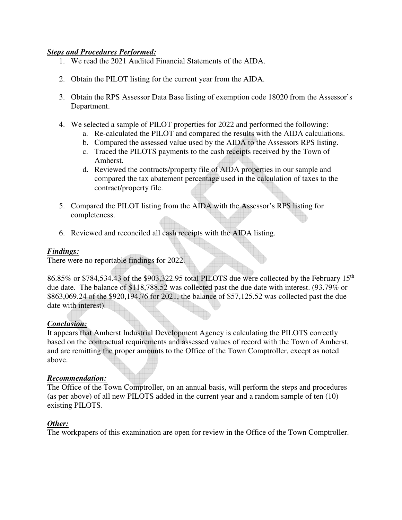## *Steps and Procedures Performed:*

- 1. We read the 2021 Audited Financial Statements of the AIDA.
- 2. Obtain the PILOT listing for the current year from the AIDA.
- 3. Obtain the RPS Assessor Data Base listing of exemption code 18020 from the Assessor's Department.
- 4. We selected a sample of PILOT properties for 2022 and performed the following:
	- a. Re-calculated the PILOT and compared the results with the AIDA calculations.
	- b. Compared the assessed value used by the AIDA to the Assessors RPS listing.
	- c. Traced the PILOTS payments to the cash receipts received by the Town of Amherst.
	- d. Reviewed the contracts/property file of AIDA properties in our sample and compared the tax abatement percentage used in the calculation of taxes to the contract/property file.
- 5. Compared the PILOT listing from the AIDA with the Assessor's RPS listing for completeness.
- 6. Reviewed and reconciled all cash receipts with the AIDA listing.

## *Findings:*

There were no reportable findings for 2022.

86.85% or \$784,534.43 of the \$903,322.95 total PILOTS due were collected by the February 15th due date. The balance of \$118,788.52 was collected past the due date with interest. (93.79% or \$863,069.24 of the \$920,194.76 for 2021, the balance of \$57,125.52 was collected past the due date with interest).

## *Conclusion:*

It appears that Amherst Industrial Development Agency is calculating the PILOTS correctly based on the contractual requirements and assessed values of record with the Town of Amherst, and are remitting the proper amounts to the Office of the Town Comptroller, except as noted above.

## *Recommendation:*

The Office of the Town Comptroller, on an annual basis, will perform the steps and procedures (as per above) of all new PILOTS added in the current year and a random sample of ten (10) existing PILOTS.

## *Other:*

The workpapers of this examination are open for review in the Office of the Town Comptroller.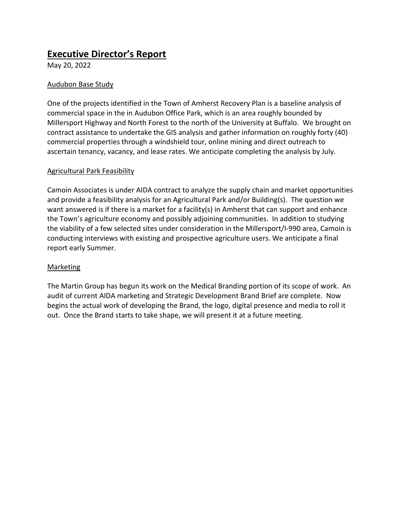# **Executive Director's Report**

May 20, 2022

# Audubon Base Study

One of the projects identified in the Town of Amherst Recovery Plan is a baseline analysis of commercial space in the in Audubon Office Park, which is an area roughly bounded by Millersport Highway and North Forest to the north of the University at Buffalo. We brought on contract assistance to undertake the GIS analysis and gather information on roughly forty (40) commercial properties through a windshield tour, online mining and direct outreach to ascertain tenancy, vacancy, and lease rates. We anticipate completing the analysis by July.

## Agricultural Park Feasibility

Camoin Associates is under AIDA contract to analyze the supply chain and market opportunities and provide a feasibility analysis for an Agricultural Park and/or Building(s). The question we want answered is if there is a market for a facility(s) in Amherst that can support and enhance the Town's agriculture economy and possibly adjoining communities. In addition to studying the viability of a few selected sites under consideration in the Millersport/I-990 area, Camoin is conducting interviews with existing and prospective agriculture users. We anticipate a final report early Summer.

## Marketing

The Martin Group has begun its work on the Medical Branding portion of its scope of work. An audit of current AIDA marketing and Strategic Development Brand Brief are complete. Now begins the actual work of developing the Brand, the logo, digital presence and media to roll it out. Once the Brand starts to take shape, we will present it at a future meeting.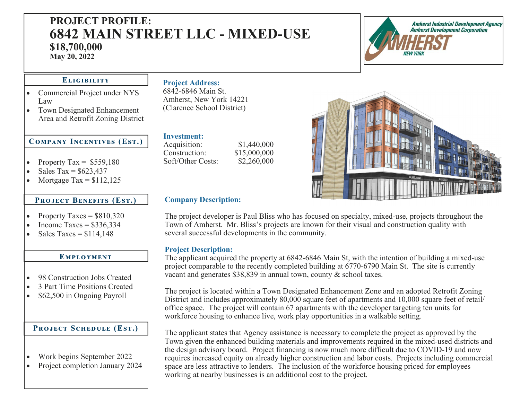# **PROJECT PROFILE: 6842 MAIN STREET LLC - MIXED-USE \$18,700,000**

**May 20, 2022** 



#### ELIGIBILITY

- Commercial Project under NYS Law
- Town Designated Enhancement Area and Retrofit Zoning District

# $COMPANY$  INCENTIVES (EST.)

- $\bullet$ Property Tax =  $$559,180$
- $\bullet$ Sales  $Tax = $623.437$
- $\bullet$ Mortgage Tax =  $$112,125$

#### **PROJECT BENEFITS (EST.)**

- $\bullet$ Property Taxes =  $$810,320$
- $\bullet$ Income Taxes  $=$  \$336,334
- $\bullet$ Sales Taxes  $= $114,148$

#### EMPLOYMENT

- $\bullet$ 98 Construction Jobs Created
- $\bullet$ 3 Part Time Positions Created
- $\bullet$ \$62,500 in Ongoing Payroll

# PROJECT SCHEDULE (EST.)

- $\bullet$ Work begins September 2022
- $\bullet$ Project completion January 2024

# **Project Address:**

6842-6846 Main St. Amherst, New York 14221 (Clarence School District)

#### **Investment:**

Acquisition: \$1,440,000<br>Construction: \$15,000,000 Construction: Soft/Other Costs: \$2,260,000



## **Company Description:**

The project developer is Paul Bliss who has focused on specialty, mixed-use, projects throughout the Town of Amherst. Mr. Bliss's projects are known for their visual and construction quality with several successful developments in the community.

#### **Project Description:**

The applicant acquired the property at 6842-6846 Main St, with the intention of building a mixed-use project comparable to the recently completed building at 6770-6790 Main St. The site is currently vacant and generates \$38,839 in annual town, county & school taxes.

The project is located within a Town Designated Enhancement Zone and an adopted Retrofit Zoning District and includes approximately 80,000 square feet of apartments and 10,000 square feet of retail/ office space. The project will contain 67 apartments with the developer targeting ten units for workforce housing to enhance live, work play opportunities in a walkable setting.

The applicant states that Agency assistance is necessary to complete the project as approved by the Town given the enhanced building materials and improvements required in the mixed-used districts and the design advisory board. Project financing is now much more difficult due to COVID-19 and now requires increased equity on already higher construction and labor costs. Projects including commercial space are less attractive to lenders. The inclusion of the workforce housing priced for employees working at nearby businesses is an additional cost to the project.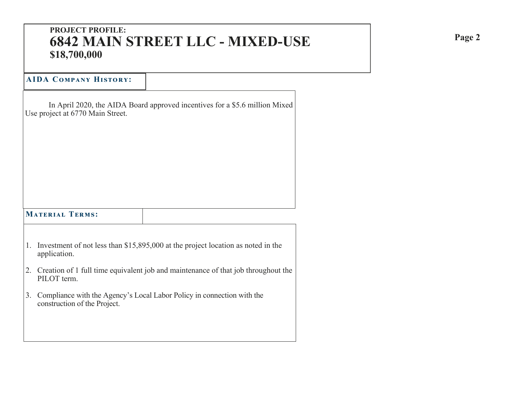# **PROJECT PROFILE: 6842 MAIN STREET LLC - MIXED-USE \$18,700,000**

# **AIDA Cඈආඉൺඇඒ Hංඌඍඈඋඒ:**

 In April 2020, the AIDA Board approved incentives for a \$5.6 million Mixed Use project at 6770 Main Street.

# $$

- 1. Investment of not less than \$15,895,000 at the project location as noted in the application.
- 2. Creation of 1 full time equivalent job and maintenance of that job throughout the PILOT term.
- 3. Compliance with the Agency's Local Labor Policy in connection with the construction of the Project.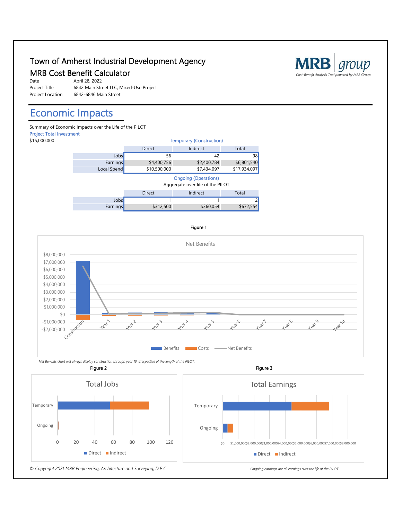# Town of Amherst Industrial Development Agency I own of Amherst Industrial Development Agency<br>MRB Cost Benefit Calculator *Cost-Benefit Analysis Tool powered by MRB Group*

| Date             | April 28, 2022                          |
|------------------|-----------------------------------------|
| Project Title    | 6842 Main Street LLC, Mixed-Use Project |
| Project Location | 6842-6846 Main Street                   |

# Economic Impacts

Summary of Economic Impacts over the Life of the PILOT Project Total Investment



#### Figure 1



 *Net Benefits chart will always display construction through year 10, irrespective of the length of the PILOT.*



Total Earnings

Direct Indirect



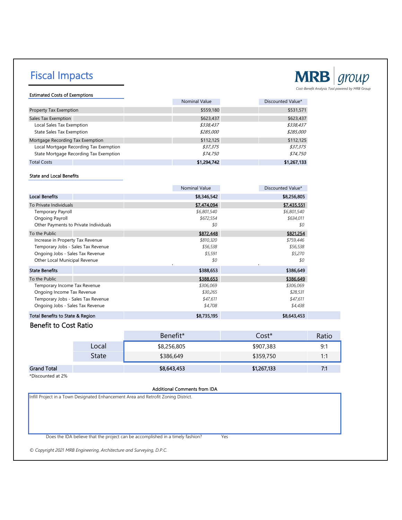# Fiscal Impacts



Estimated Costs of Exemptions

|                                        | <b>Nominal Value</b> | Discounted Value* |
|----------------------------------------|----------------------|-------------------|
| Property Tax Exemption                 | \$559,180            | \$531,571         |
| Sales Tax Exemption                    | \$623,437            | \$623,437         |
| Local Sales Tax Exemption              | \$338,437            | \$338,437         |
| <b>State Sales Tax Exemption</b>       | \$285.000            | \$285,000         |
| Mortgage Recording Tax Exemption       | \$112,125            | \$112,125         |
| Local Mortgage Recording Tax Exemption | \$37,375             | \$37,375          |
| State Mortgage Recording Tax Exemption | \$74,750             | \$74,750          |
| <b>Total Costs</b>                     | \$1,294,742          | \$1,267,133       |

#### State and Local Benefits

|                                       | <b>Nominal Value</b> | Discounted Value*     |
|---------------------------------------|----------------------|-----------------------|
| <b>Local Benefits</b>                 | \$8,346,542          | \$8,256,805           |
| To Private Individuals                | \$7,474,094          | \$7,435,551           |
| <b>Temporary Payroll</b>              | \$6,801,540          | \$6,801,540           |
| Ongoing Payroll                       | \$672,554            | \$634,011             |
| Other Payments to Private Individuals | \$0                  | \$0                   |
| To the Public                         | \$872,448            | \$821,254             |
| Increase in Property Tax Revenue      | \$810,320            | \$759,446             |
| Temporary Jobs - Sales Tax Revenue    | \$56,538             | \$56,538              |
| Ongoing Jobs - Sales Tax Revenue      | \$5,591              | \$5,270               |
| Other Local Municipal Revenue         | \$0                  | \$0<br>$\blacksquare$ |
| <b>State Benefits</b>                 | \$388,653            | \$386,649             |
| To the Public                         | \$388,653            | \$386,649             |
| Temporary Income Tax Revenue          | \$306,069            | \$306,069             |
| Ongoing Income Tax Revenue            | \$30,265             | \$28,531              |
| Temporary Jobs - Sales Tax Revenue    | \$47,611             | \$47,611              |
| Ongoing Jobs - Sales Tax Revenue      | \$4,708              | \$4,438               |
| Total Benefits to State & Region      | \$8,735,195          | \$8,643,453           |

#### Benefit to Cost Ratio

|                    |       | Benefit*    | Cost*       | Ratio |
|--------------------|-------|-------------|-------------|-------|
|                    | Local | \$8,256,805 | \$907,383   | Q۰    |
|                    | State | \$386,649   | \$359,750   | 1.1   |
| <b>Grand Total</b> |       | \$8,643,453 | \$1,267,133 | 7:1   |

\*Discounted at 2%

#### Additional Comments from IDA

Infill Project in a Town Designated Enhancement Area and Retrofit Zoning District.

Does the IDA believe that the project can be accomplished in a timely fashion? Yes

*© Copyright 2021 MRB Engineering, Architecture and Surveying, D.P.C.*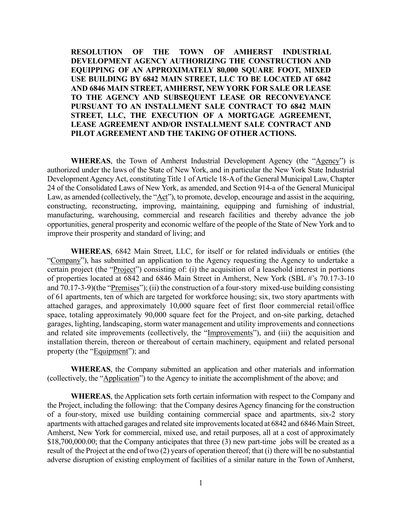**RESOLUTION OF THE TOWN OF AMHERST INDUSTRIAL DEVELOPMENT AGENCY AUTHORIZING THE CONSTRUCTION AND EQUIPPING OF AN APPROXIMATELY 80,000 SQUARE FOOT, MIXED USE BUILDING BY 6842 MAIN STREET, LLC TO BE LOCATED AT 6842 AND 6846 MAIN STREET, AMHERST, NEW YORK FOR SALE OR LEASE TO THE AGENCY AND SUBSEQUENT LEASE OR RECONVEYANCE PURSUANT TO AN INSTALLMENT SALE CONTRACT TO 6842 MAIN STREET, LLC, THE EXECUTION OF A MORTGAGE AGREEMENT, LEASE AGREEMENT AND/OR INSTALLMENT SALE CONTRACT AND PILOT AGREEMENT AND THE TAKING OF OTHER ACTIONS.**

**WHEREAS**, the Town of Amherst Industrial Development Agency (the "Agency") is authorized under the laws of the State of New York, and in particular the New York State Industrial Development Agency Act, constituting Title 1 of Article 18-A of the General Municipal Law, Chapter 24 of the Consolidated Laws of New York, as amended, and Section 914-a of the General Municipal Law, as amended (collectively, the "Act"), to promote, develop, encourage and assist in the acquiring, constructing, reconstructing, improving, maintaining, equipping and furnishing of industrial, manufacturing, warehousing, commercial and research facilities and thereby advance the job opportunities, general prosperity and economic welfare of the people of the State of New York and to improve their prosperity and standard of living; and

**WHEREAS**, 6842 Main Street, LLC, for itself or for related individuals or entities (the "Company"), has submitted an application to the Agency requesting the Agency to undertake a certain project (the "Project") consisting of: (i) the acquisition of a leasehold interest in portions of properties located at 6842 and 6846 Main Street in Amherst, New York (SBL #'s 70.17-3-10 and 70.17-3-9)(the "Premises"); (ii) the construction of a four-story mixed-use building consisting of 61 apartments, ten of which are targeted for workforce housing; six, two story apartments with attached garages, and approximately 10,000 square feet of first floor commercial retail/office space, totaling approximately 90,000 square feet for the Project, and on-site parking, detached garages, lighting, landscaping, storm water management and utility improvements and connections and related site improvements (collectively, the "Improvements"), and (iii) the acquisition and installation therein, thereon or thereabout of certain machinery, equipment and related personal property (the "Equipment"); and

**WHEREAS**, the Company submitted an application and other materials and information (collectively, the "Application") to the Agency to initiate the accomplishment of the above; and

**WHEREAS**, the Application sets forth certain information with respect to the Company and the Project, including the following: that the Company desires Agency financing for the construction of a four-story, mixed use building containing commercial space and apartments, six-2 story apartments with attached garages and related site improvements located at 6842 and 6846 Main Street, Amherst, New York for commercial, mixed use, and retail purposes, all at a cost of approximately \$18,700,000.00; that the Company anticipates that three (3) new part-time jobs will be created as a result of the Project at the end of two (2) years of operation thereof; that (i) there will be no substantial adverse disruption of existing employment of facilities of a similar nature in the Town of Amherst,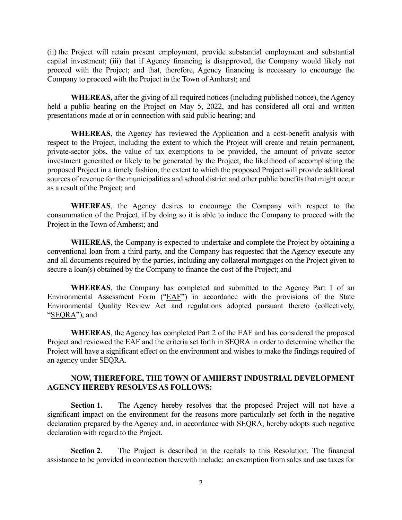(ii) the Project will retain present employment, provide substantial employment and substantial capital investment; (iii) that if Agency financing is disapproved, the Company would likely not proceed with the Project; and that, therefore, Agency financing is necessary to encourage the Company to proceed with the Project in the Town of Amherst; and

**WHEREAS,** after the giving of all required notices (including published notice), the Agency held a public hearing on the Project on May 5, 2022, and has considered all oral and written presentations made at or in connection with said public hearing; and

**WHEREAS**, the Agency has reviewed the Application and a cost-benefit analysis with respect to the Project, including the extent to which the Project will create and retain permanent, private-sector jobs, the value of tax exemptions to be provided, the amount of private sector investment generated or likely to be generated by the Project, the likelihood of accomplishing the proposed Project in a timely fashion, the extent to which the proposed Project will provide additional sources of revenue for the municipalities and school district and other public benefits that might occur as a result of the Project; and

 **WHEREAS**, the Agency desires to encourage the Company with respect to the consummation of the Project, if by doing so it is able to induce the Company to proceed with the Project in the Town of Amherst; and

**WHEREAS**, the Company is expected to undertake and complete the Project by obtaining a conventional loan from a third party, and the Company has requested that the Agency execute any and all documents required by the parties, including any collateral mortgages on the Project given to secure a loan(s) obtained by the Company to finance the cost of the Project; and

**WHEREAS**, the Company has completed and submitted to the Agency Part 1 of an Environmental Assessment Form ("EAF") in accordance with the provisions of the State Environmental Quality Review Act and regulations adopted pursuant thereto (collectively, "SEQRA"); and

**WHEREAS**, the Agency has completed Part 2 of the EAF and has considered the proposed Project and reviewed the EAF and the criteria set forth in SEQRA in order to determine whether the Project will have a significant effect on the environment and wishes to make the findings required of an agency under SEQRA.

#### **NOW, THEREFORE, THE TOWN OF AMHERST INDUSTRIAL DEVELOPMENT AGENCY HEREBY RESOLVES AS FOLLOWS:**

**Section 1.** The Agency hereby resolves that the proposed Project will not have a significant impact on the environment for the reasons more particularly set forth in the negative declaration prepared by the Agency and, in accordance with SEQRA, hereby adopts such negative declaration with regard to the Project.

**Section 2**. The Project is described in the recitals to this Resolution. The financial assistance to be provided in connection therewith include: an exemption from sales and use taxes for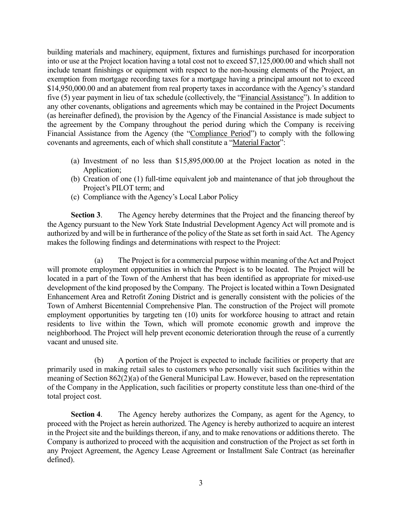building materials and machinery, equipment, fixtures and furnishings purchased for incorporation into or use at the Project location having a total cost not to exceed \$7,125,000.00 and which shall not include tenant finishings or equipment with respect to the non-housing elements of the Project, an exemption from mortgage recording taxes for a mortgage having a principal amount not to exceed \$14,950,000.00 and an abatement from real property taxes in accordance with the Agency's standard five (5) year payment in lieu of tax schedule (collectively, the "Financial Assistance"). In addition to any other covenants, obligations and agreements which may be contained in the Project Documents (as hereinafter defined), the provision by the Agency of the Financial Assistance is made subject to the agreement by the Company throughout the period during which the Company is receiving Financial Assistance from the Agency (the "Compliance Period") to comply with the following covenants and agreements, each of which shall constitute a "Material Factor":

- (a) Investment of no less than \$15,895,000.00 at the Project location as noted in the Application;
- (b) Creation of one (1) full-time equivalent job and maintenance of that job throughout the Project's PILOT term; and
- (c) Compliance with the Agency's Local Labor Policy

**Section 3**. The Agency hereby determines that the Project and the financing thereof by the Agency pursuant to the New York State Industrial Development Agency Act will promote and is authorized by and will be in furtherance of the policy of the State as set forth in said Act. The Agency makes the following findings and determinations with respect to the Project:

 (a) The Project is for a commercial purpose within meaning of the Act and Project will promote employment opportunities in which the Project is to be located. The Project will be located in a part of the Town of the Amherst that has been identified as appropriate for mixed-use development of the kind proposed by the Company. The Project is located within a Town Designated Enhancement Area and Retrofit Zoning District and is generally consistent with the policies of the Town of Amherst Bicentennial Comprehensive Plan. The construction of the Project will promote employment opportunities by targeting ten (10) units for workforce housing to attract and retain residents to live within the Town, which will promote economic growth and improve the neighborhood. The Project will help prevent economic deterioration through the reuse of a currently vacant and unused site.

 (b) A portion of the Project is expected to include facilities or property that are primarily used in making retail sales to customers who personally visit such facilities within the meaning of Section 862(2)(a) of the General Municipal Law. However, based on the representation of the Company in the Application, such facilities or property constitute less than one-third of the total project cost.

**Section 4**. The Agency hereby authorizes the Company, as agent for the Agency, to proceed with the Project as herein authorized. The Agency is hereby authorized to acquire an interest in the Project site and the buildings thereon, if any, and to make renovations or additions thereto. The Company is authorized to proceed with the acquisition and construction of the Project as set forth in any Project Agreement, the Agency Lease Agreement or Installment Sale Contract (as hereinafter defined).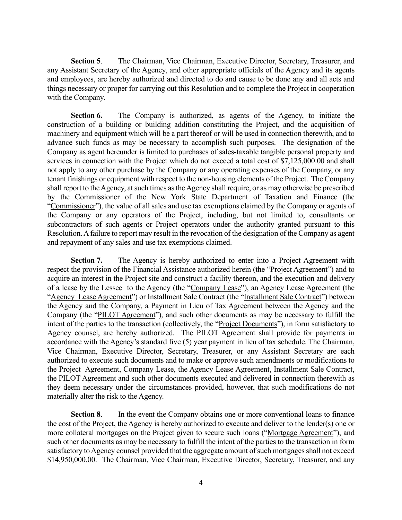**Section 5**. The Chairman, Vice Chairman, Executive Director, Secretary, Treasurer, and any Assistant Secretary of the Agency, and other appropriate officials of the Agency and its agents and employees, are hereby authorized and directed to do and cause to be done any and all acts and things necessary or proper for carrying out this Resolution and to complete the Project in cooperation with the Company.

**Section 6.** The Company is authorized, as agents of the Agency, to initiate the construction of a building or building addition constituting the Project, and the acquisition of machinery and equipment which will be a part thereof or will be used in connection therewith, and to advance such funds as may be necessary to accomplish such purposes. The designation of the Company as agent hereunder is limited to purchases of sales-taxable tangible personal property and services in connection with the Project which do not exceed a total cost of \$7,125,000.00 and shall not apply to any other purchase by the Company or any operating expenses of the Company, or any tenant finishings or equipment with respect to the non-housing elements of the Project. The Company shall report to the Agency, at such times as the Agency shall require, or as may otherwise be prescribed by the Commissioner of the New York State Department of Taxation and Finance (the "Commissioner"), the value of all sales and use tax exemptions claimed by the Company or agents of the Company or any operators of the Project, including, but not limited to, consultants or subcontractors of such agents or Project operators under the authority granted pursuant to this Resolution. A failure to report may result in the revocation of the designation of the Company as agent and repayment of any sales and use tax exemptions claimed.

**Section 7.** The Agency is hereby authorized to enter into a Project Agreement with respect the provision of the Financial Assistance authorized herein (the "Project Agreement") and to acquire an interest in the Project site and construct a facility thereon, and the execution and delivery of a lease by the Lessee to the Agency (the "Company Lease"), an Agency Lease Agreement (the "Agency Lease Agreement") or Installment Sale Contract (the "Installment Sale Contract") between the Agency and the Company, a Payment in Lieu of Tax Agreement between the Agency and the Company (the "PILOT Agreement"), and such other documents as may be necessary to fulfill the intent of the parties to the transaction (collectively, the "Project Documents"), in form satisfactory to Agency counsel, are hereby authorized. The PILOT Agreement shall provide for payments in accordance with the Agency's standard five (5) year payment in lieu of tax schedule. The Chairman, Vice Chairman, Executive Director, Secretary, Treasurer, or any Assistant Secretary are each authorized to execute such documents and to make or approve such amendments or modifications to the Project Agreement, Company Lease, the Agency Lease Agreement, Installment Sale Contract, the PILOT Agreement and such other documents executed and delivered in connection therewith as they deem necessary under the circumstances provided, however, that such modifications do not materially alter the risk to the Agency.

**Section 8.** In the event the Company obtains one or more conventional loans to finance the cost of the Project, the Agency is hereby authorized to execute and deliver to the lender(s) one or more collateral mortgages on the Project given to secure such loans ("Mortgage Agreement"), and such other documents as may be necessary to fulfill the intent of the parties to the transaction in form satisfactory to Agency counsel provided that the aggregate amount of such mortgages shall not exceed \$14,950,000.00. The Chairman, Vice Chairman, Executive Director, Secretary, Treasurer, and any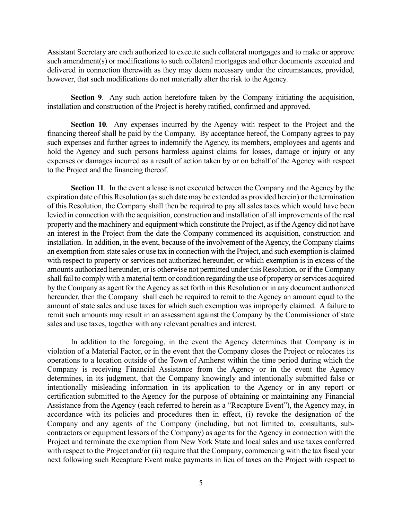Assistant Secretary are each authorized to execute such collateral mortgages and to make or approve such amendment(s) or modifications to such collateral mortgages and other documents executed and delivered in connection therewith as they may deem necessary under the circumstances, provided, however, that such modifications do not materially alter the risk to the Agency.

**Section 9**. Any such action heretofore taken by the Company initiating the acquisition, installation and construction of the Project is hereby ratified, confirmed and approved.

**Section 10**. Any expenses incurred by the Agency with respect to the Project and the financing thereof shall be paid by the Company. By acceptance hereof, the Company agrees to pay such expenses and further agrees to indemnify the Agency, its members, employees and agents and hold the Agency and such persons harmless against claims for losses, damage or injury or any expenses or damages incurred as a result of action taken by or on behalf of the Agency with respect to the Project and the financing thereof.

**Section 11**. In the event a lease is not executed between the Company and the Agency by the expiration date of this Resolution (as such date may be extended as provided herein) or the termination of this Resolution, the Company shall then be required to pay all sales taxes which would have been levied in connection with the acquisition, construction and installation of all improvements of the real property and the machinery and equipment which constitute the Project, as if the Agency did not have an interest in the Project from the date the Company commenced its acquisition, construction and installation. In addition, in the event, because of the involvement of the Agency, the Company claims an exemption from state sales or use tax in connection with the Project, and such exemption is claimed with respect to property or services not authorized hereunder, or which exemption is in excess of the amounts authorized hereunder, or is otherwise not permitted under this Resolution, or if the Company shall fail to comply with a material term or condition regarding the use of property or services acquired by the Company as agent for the Agency as set forth in this Resolution or in any document authorized hereunder, then the Company shall each be required to remit to the Agency an amount equal to the amount of state sales and use taxes for which such exemption was improperly claimed. A failure to remit such amounts may result in an assessment against the Company by the Commissioner of state sales and use taxes, together with any relevant penalties and interest.

In addition to the foregoing, in the event the Agency determines that Company is in violation of a Material Factor, or in the event that the Company closes the Project or relocates its operations to a location outside of the Town of Amherst within the time period during which the Company is receiving Financial Assistance from the Agency or in the event the Agency determines, in its judgment, that the Company knowingly and intentionally submitted false or intentionally misleading information in its application to the Agency or in any report or certification submitted to the Agency for the purpose of obtaining or maintaining any Financial Assistance from the Agency (each referred to herein as a "Recapture Event"), the Agency may, in accordance with its policies and procedures then in effect, (i) revoke the designation of the Company and any agents of the Company (including, but not limited to, consultants, subcontractors or equipment lessors of the Company) as agents for the Agency in connection with the Project and terminate the exemption from New York State and local sales and use taxes conferred with respect to the Project and/or (ii) require that the Company, commencing with the tax fiscal year next following such Recapture Event make payments in lieu of taxes on the Project with respect to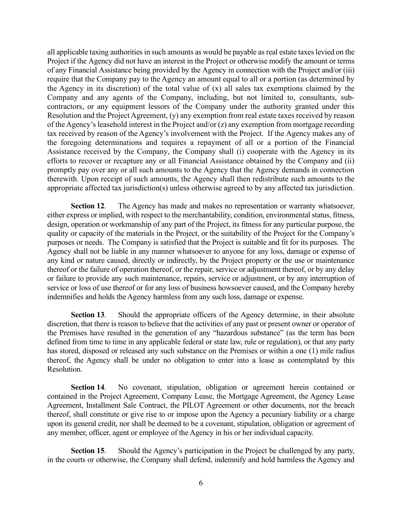all applicable taxing authorities in such amounts as would be payable as real estate taxes levied on the Project if the Agency did not have an interest in the Project or otherwise modify the amount or terms of any Financial Assistance being provided by the Agency in connection with the Project and/or (iii) require that the Company pay to the Agency an amount equal to all or a portion (as determined by the Agency in its discretion) of the total value of (x) all sales tax exemptions claimed by the Company and any agents of the Company, including, but not limited to, consultants, subcontractors, or any equipment lessors of the Company under the authority granted under this Resolution and the Project Agreement, (y) any exemption from real estate taxes received by reason of the Agency's leasehold interest in the Project and/or (z) any exemption from mortgage recording tax received by reason of the Agency's involvement with the Project. If the Agency makes any of the foregoing determinations and requires a repayment of all or a portion of the Financial Assistance received by the Company, the Company shall (i) cooperate with the Agency in its efforts to recover or recapture any or all Financial Assistance obtained by the Company and (ii) promptly pay over any or all such amounts to the Agency that the Agency demands in connection therewith. Upon receipt of such amounts, the Agency shall then redistribute such amounts to the appropriate affected tax jurisdiction(s) unless otherwise agreed to by any affected tax jurisdiction.

**Section 12.** The Agency has made and makes no representation or warranty whatsoever, either express or implied, with respect to the merchantability, condition, environmental status, fitness, design, operation or workmanship of any part of the Project, its fitness for any particular purpose, the quality or capacity of the materials in the Project, or the suitability of the Project for the Company's purposes or needs. The Company is satisfied that the Project is suitable and fit for its purposes. The Agency shall not be liable in any manner whatsoever to anyone for any loss, damage or expense of any kind or nature caused, directly or indirectly, by the Project property or the use or maintenance thereof or the failure of operation thereof, or the repair, service or adjustment thereof, or by any delay or failure to provide any such maintenance, repairs, service or adjustment, or by any interruption of service or loss of use thereof or for any loss of business howsoever caused, and the Company hereby indemnifies and holds the Agency harmless from any such loss, damage or expense.

**Section 13**. Should the appropriate officers of the Agency determine, in their absolute discretion, that there is reason to believe that the activities of any past or present owner or operator of the Premises have resulted in the generation of any "hazardous substance" (as the term has been defined from time to time in any applicable federal or state law, rule or regulation), or that any party has stored, disposed or released any such substance on the Premises or within a one (1) mile radius thereof, the Agency shall be under no obligation to enter into a lease as contemplated by this Resolution.

**Section 14**. No covenant, stipulation, obligation or agreement herein contained or contained in the Project Agreement, Company Lease, the Mortgage Agreement, the Agency Lease Agreement, Installment Sale Contract, the PILOT Agreement or other documents, nor the breach thereof, shall constitute or give rise to or impose upon the Agency a pecuniary liability or a charge upon its general credit, nor shall be deemed to be a covenant, stipulation, obligation or agreement of any member, officer, agent or employee of the Agency in his or her individual capacity.

**Section 15**. Should the Agency's participation in the Project be challenged by any party, in the courts or otherwise, the Company shall defend, indemnify and hold harmless the Agency and